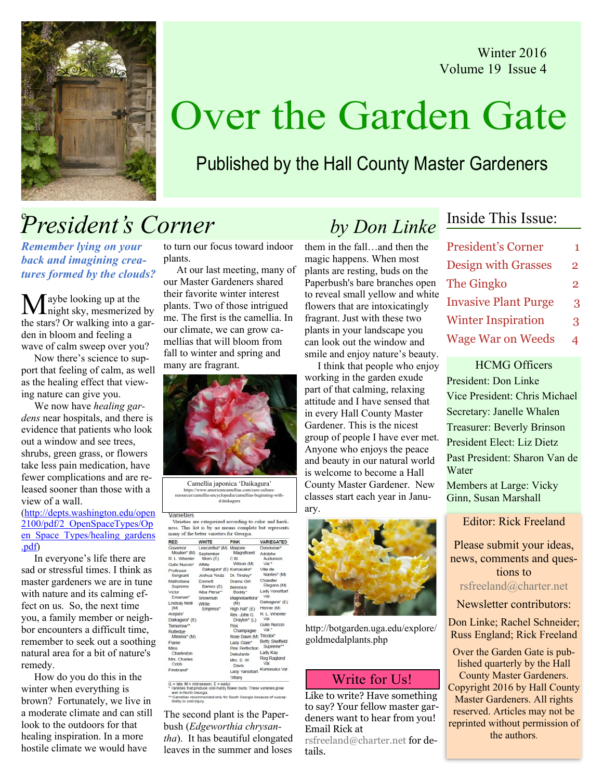Winter 2016 Volume 19 Issue 4



# Over the Garden Gate

## Published by the Hall County Master Gardeners

# President's Corner by Don Linke

Remember lying on your back and imagining creatures formed by the clouds?

 $M$ aybe looking up at the<br>night sky, mesmerized by the stars? Or walking into a garden in bloom and feeling a wave of calm sweep over you?

 Now there's science to support that feeling of calm, as well as the healing effect that viewing nature can give you.

We now have *healing gar*dens near hospitals, and there is evidence that patients who look out a window and see trees, shrubs, green grass, or flowers take less pain medication, have fewer complications and are released sooner than those with a view of a wall. (http://depts.washington.edu/open 2100/pdf/2\_OpenSpaceTypes/Op en Space Types/healing gardens

.pdf) In everyone's life there are sad or stressful times. I think as master gardeners we are in tune with nature and its calming effect on us. So, the next time you, a family member or neighbor encounters a difficult time, remember to seek out a soothing natural area for a bit of nature's remedy.

 How do you do this in the winter when everything is brown? Fortunately, we live in a moderate climate and can still look to the outdoors for that healing inspiration. In a more hostile climate we would have

to turn our focus toward indoor plants.

 At our last meeting, many of our Master Gardeners shared their favorite winter interest plants. Two of those intrigued me. The first is the camellia. In our climate, we can grow camellias that will bloom from fall to winter and spring and many are fragrant.



https://www.americancamellias.com/care-culture-resources/camellia-encyclopedia/camellias-beginning-with-d/daikagura

|  |  |  | Varieties are categorized according to color and hardi- |  |  |  |
|--|--|--|---------------------------------------------------------|--|--|--|
|  |  |  | ness. This list is by no means complete but represents  |  |  |  |

| <b>RED</b>                                                                                                                                                                                                                                                                                                    | <b>WHITE</b>                                                                                                                                                      | <b>PINK</b>                                                                                                                                                                                                                                                                                                                                | <b>VARIEGATED</b>                                                                                                                                                                                                                                                                                                    |
|---------------------------------------------------------------------------------------------------------------------------------------------------------------------------------------------------------------------------------------------------------------------------------------------------------------|-------------------------------------------------------------------------------------------------------------------------------------------------------------------|--------------------------------------------------------------------------------------------------------------------------------------------------------------------------------------------------------------------------------------------------------------------------------------------------------------------------------------------|----------------------------------------------------------------------------------------------------------------------------------------------------------------------------------------------------------------------------------------------------------------------------------------------------------------------|
| Governor<br>Mouton* (M)<br>R. L. Wheeler<br>Gulio Nuccio*<br>Professor<br>Sergeant<br>Mathotiana<br>Supreme<br>Victor<br><b>Emanuel*</b><br>Lindsay Neill<br>(M)<br>Arejishi*<br>Daikagura* (E)<br>Tomorrow**<br>Rutledge<br>Mimmix* (M)<br>Flame<br>Miss<br>Charleston<br>Mrs. Charles<br>Cobb<br>Firebrand* | Leucantha* (M)<br>September<br>Morn (E)<br>White<br>Daikagura* (E)<br><b>Joshua Youtz</b><br>Fmmett<br>Barnes (E)<br>Alba Plena**<br>Snowman<br>White<br>Empress* | Mariorie<br>Magnificent<br>C.M.<br>Wilson (M)<br>Kumasaka*<br>Dr. Tinsley*<br>Drama Girl<br>Berenice<br>Boddy*<br>Magnoliaeflora*<br>(M)<br>High Hat* (E)<br>Rev. John G.<br>Drayton* (L)<br>Pink<br>Champagne<br>Rose Dawn (M)<br>Lady Clare*<br><b>Pink Perfection</b><br>Debutante<br>Mrs. D. W.<br>Davis<br>Lady Vansittart<br>Tiffany | Donckelari*<br>Adolphe<br>Audusson<br>Var.*<br>Ville de<br>Nantes* (M)<br>Chandlei<br>Elegans (M)<br>Lady Vansittart<br>Var.<br>Daikagura* (E)<br>Herme (M)<br>R. L. Wheeler<br>Var.<br>Gulio Nuccio<br>Var*<br>Tricolor*<br><b>Betty Sheffield</b><br>Supreme**<br>Lady Kay<br>Reg Ragland<br>Var.<br>Kumasaka Var. |

M = mid-season, E = early)<br>s that produce cold-hardy flower buds. These varieties grow well in North Georgia.<br>Camellias recommended only for South Georgia because of suscep-

The second plant is the Paperbush (Edgeworthia chrysantha). It has beautiful elongated leaves in the summer and loses

them in the fall…and then the magic happens. When most plants are resting, buds on the Paperbush's bare branches open to reveal small yellow and white flowers that are intoxicatingly fragrant. Just with these two plants in your landscape you can look out the window and smile and enjoy nature's beauty.

 I think that people who enjoy working in the garden exude part of that calming, relaxing attitude and I have sensed that in every Hall County Master Gardener. This is the nicest group of people I have ever met. Anyone who enjoys the peace and beauty in our natural world is welcome to become a Hall County Master Gardener. New classes start each year in January.



http://botgarden.uga.edu/explore/ goldmedalplants.php

### Write for Us!

Like to write? Have something to say? Your fellow master gardeners want to hear from you! Email Rick at

[rsfreeland@charter.net](mailto:rsfreeland@charter.net) for details.

### Inside This Issue:

| <b>President's Corner</b>   | 1              |
|-----------------------------|----------------|
| <b>Design with Grasses</b>  | $\overline{2}$ |
| The Gingko                  | $\overline{2}$ |
| <b>Invasive Plant Purge</b> | 3              |
| <b>Winter Inspiration</b>   | 3              |
| <b>Wage War on Weeds</b>    |                |

HCMG Officers President: Don Linke Vice President: Chris Michael Secretary: Janelle Whalen Treasurer: Beverly Brinson President Elect: Liz Dietz Past President: Sharon Van de Water Members at Large: Vicky Ginn, Susan Marshall

Editor: Rick Freeland

Please submit your ideas, news, comments and questions to [rsfreeland@charter.net](mailto:rsfreeland@charter.net)

Newsletter contributors:

Don Linke; Rachel Schneider; Russ England; Rick Freeland

Over the Garden Gate is published quarterly by the Hall County Master Gardeners. Copyright 2016 by Hall County Master Gardeners. All rights reserved. Articles may not be reprinted without permission of the authors.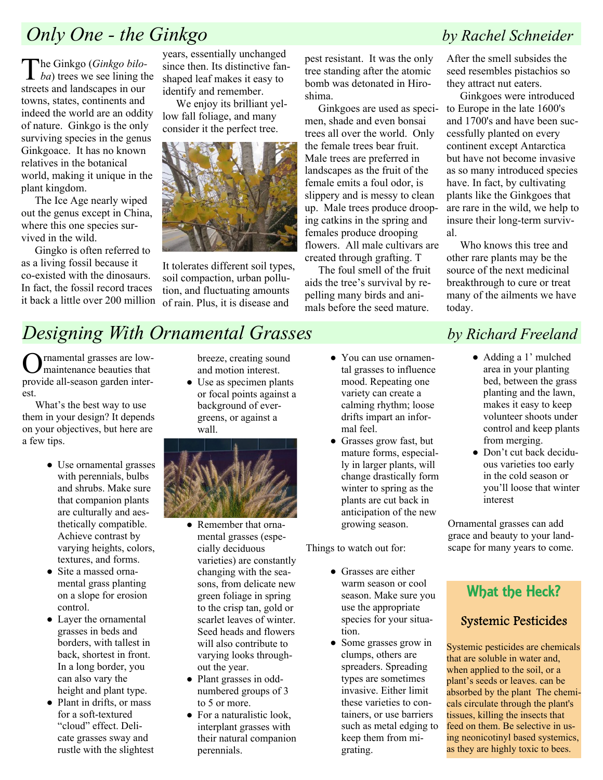## Only One - the Ginkgo by Rachel Schneider

 $\int$  he Ginkgo (*Ginkgo bilo-ba*) trees we see lining the streets and landscapes in our towns, states, continents and indeed the world are an oddity of nature. Ginkgo is the only surviving species in the genus Ginkgoace. It has no known relatives in the botanical world, making it unique in the plant kingdom.

 The Ice Age nearly wiped out the genus except in China, where this one species survived in the wild.

 Gingko is often referred to as a living fossil because it co-existed with the dinosaurs. In fact, the fossil record traces it back a little over 200 million years, essentially unchanged since then. Its distinctive fanshaped leaf makes it easy to identify and remember.

 We enjoy its brilliant yellow fall foliage, and many consider it the perfect tree.



It tolerates different soil types, soil compaction, urban pollution, and fluctuating amounts of rain. Plus, it is disease and

pest resistant. It was the only tree standing after the atomic bomb was detonated in Hiroshima.

 Ginkgoes are used as specimen, shade and even bonsai trees all over the world. Only the female trees bear fruit. Male trees are preferred in landscapes as the fruit of the female emits a foul odor, is slippery and is messy to clean up. Male trees produce drooping catkins in the spring and females produce drooping flowers. All male cultivars are created through grafting. T

 The foul smell of the fruit aids the tree's survival by repelling many birds and animals before the seed mature.

After the smell subsides the seed resembles pistachios so they attract nut eaters.

 Ginkgoes were introduced to Europe in the late 1600's and 1700's and have been successfully planted on every continent except Antarctica but have not become invasive as so many introduced species have. In fact, by cultivating plants like the Ginkgoes that are rare in the wild, we help to insure their long-term survival.

 Who knows this tree and other rare plants may be the source of the next medicinal breakthrough to cure or treat many of the ailments we have today.

## Designing With Ornamental Grasses by Richard Freeland

rnamental grasses are lowmaintenance beauties that provide all-season garden interest.

 What's the best way to use them in your design? It depends on your objectives, but here are a few tips.

- Use ornamental grasses with perennials, bulbs and shrubs. Make sure that companion plants are culturally and aesthetically compatible. Achieve contrast by varying heights, colors, textures, and forms.
- Site a massed ornamental grass planting on a slope for erosion control.
- Layer the ornamental grasses in beds and borders, with tallest in back, shortest in front. In a long border, you can also vary the height and plant type.
- Plant in drifts, or mass for a soft-textured "cloud" effect. Delicate grasses sway and rustle with the slightest

breeze, creating sound and motion interest.

• Use as specimen plants or focal points against a background of evergreens, or against a wall.



- Remember that ornamental grasses (especially deciduous varieties) are constantly changing with the seasons, from delicate new green foliage in spring to the crisp tan, gold or scarlet leaves of winter. Seed heads and flowers will also contribute to varying looks throughout the year.
- Plant grasses in oddnumbered groups of 3 to 5 or more.
- For a naturalistic look, interplant grasses with their natural companion perennials.
- You can use ornamental grasses to influence mood. Repeating one variety can create a calming rhythm; loose drifts impart an informal feel.
- Grasses grow fast, but mature forms, especially in larger plants, will change drastically form winter to spring as the plants are cut back in anticipation of the new growing season.

Things to watch out for:

- Grasses are either warm season or cool season. Make sure you use the appropriate species for your situation.
- Some grasses grow in clumps, others are spreaders. Spreading types are sometimes invasive. Either limit these varieties to containers, or use barriers such as metal edging to keep them from migrating.

- Adding a 1' mulched area in your planting bed, between the grass planting and the lawn, makes it easy to keep volunteer shoots under control and keep plants from merging.
- Don't cut back deciduous varieties too early in the cold season or you'll loose that winter interest

Ornamental grasses can add grace and beauty to your landscape for many years to come.

### What the Heck?

### **Systemic Pesticides**

Systemic pesticides are chemicals that are soluble in water and, when applied to the soil, or a plant's seeds or leaves. can be absorbed by the plant The chemicals circulate through the plant's tissues, killing the insects that feed on them. Be selective in using neonicotinyl based systemics, as they are highly toxic to bees.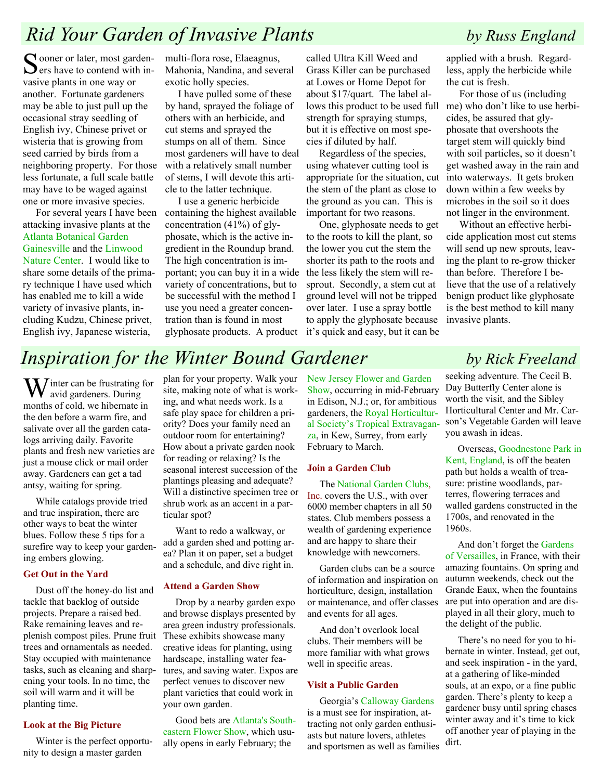## Rid Your Garden of Invasive Plants by Russ England

Cooner or later, most garden- $\sum$  ers have to contend with invasive plants in one way or another. Fortunate gardeners may be able to just pull up the occasional stray seedling of English ivy, Chinese privet or wisteria that is growing from seed carried by birds from a neighboring property. For those less fortunate, a full scale battle may have to be waged against one or more invasive species.

 For several years I have been attacking invasive plants at the Atlanta Botanical Garden Gainesville and the Linwood Nature Center. I would like to share some details of the primary technique I have used which has enabled me to kill a wide variety of invasive plants, including Kudzu, Chinese privet, English ivy, Japanese wisteria,

multi-flora rose, Elaeagnus, Mahonia, Nandina, and several exotic holly species.

 I have pulled some of these by hand, sprayed the foliage of others with an herbicide, and cut stems and sprayed the stumps on all of them. Since most gardeners will have to deal with a relatively small number of stems, I will devote this article to the latter technique.

 I use a generic herbicide containing the highest available concentration (41%) of glyphosate, which is the active ingredient in the Roundup brand. The high concentration is important; you can buy it in a wide variety of concentrations, but to be successful with the method I use you need a greater concentration than is found in most glyphosate products. A product

called Ultra Kill Weed and Grass Killer can be purchased at Lowes or Home Depot for about \$17/quart. The label alstrength for spraying stumps, but it is effective on most species if diluted by half.

 Regardless of the species, using whatever cutting tool is appropriate for the situation, cut the stem of the plant as close to the ground as you can. This is important for two reasons.

 One, glyphosate needs to get to the roots to kill the plant, so the lower you cut the stem the shorter its path to the roots and the less likely the stem will resprout. Secondly, a stem cut at ground level will not be tripped over later. I use a spray bottle to apply the glyphosate because it's quick and easy, but it can be applied with a brush. Regardless, apply the herbicide while the cut is fresh.

lows this product to be used full me) who don't like to use herbi- For those of us (including cides, be assured that glyphosate that overshoots the target stem will quickly bind with soil particles, so it doesn't get washed away in the rain and into waterways. It gets broken down within a few weeks by microbes in the soil so it does not linger in the environment.

> Without an effective herbicide application most cut stems will send up new sprouts, leaving the plant to re-grow thicker than before. Therefore I believe that the use of a relatively benign product like glyphosate is the best method to kill many invasive plants.

## Inspiration for the Winter Bound Gardener by Rick Freeland

Winter can be frustrating for avid gardeners. During months of cold, we hibernate in the den before a warm fire, and salivate over all the garden catalogs arriving daily. Favorite plants and fresh new varieties are just a mouse click or mail order away. Gardeners can get a tad antsy, waiting for spring.

 While catalogs provide tried and true inspiration, there are other ways to beat the winter blues. Follow these 5 tips for a surefire way to keep your gardening embers glowing.

#### Get Out in the Yard

 Dust off the honey-do list and tackle that backlog of outside projects. Prepare a raised bed. Rake remaining leaves and replenish compost piles. Prune fruit These exhibits showcase many trees and ornamentals as needed. Stay occupied with maintenance tasks, such as cleaning and sharpening your tools. In no time, the soil will warm and it will be planting time.

#### Look at the Big Picture

 Winter is the perfect opportunity to design a master garden

plan for your property. Walk your site, making note of what is working, and what needs work. Is a safe play space for children a priority? Does your family need an outdoor room for entertaining? How about a private garden nook for reading or relaxing? Is the seasonal interest succession of the plantings pleasing and adequate? Will a distinctive specimen tree or shrub work as an accent in a particular spot?

 Want to redo a walkway, or add a garden shed and potting area? Plan it on paper, set a budget and a schedule, and dive right in.

#### Attend a Garden Show

 Drop by a nearby garden expo and browse displays presented by area green industry professionals. creative ideas for planting, using hardscape, installing water features, and saving water. Expos are perfect venues to discover new plant varieties that could work in your own garden.

 Good bets are Atlanta's Southeastern Flower Show, which usually opens in early February; the

New Jersey Flower and Garden Show, occurring in mid-February in Edison, N.J.; or, for ambitious gardeners, the Royal Horticultural Society's Tropical Extravaganza, in Kew, Surrey, from early February to March.

#### Join a Garden Club

 The National Garden Clubs, Inc. covers the U.S., with over 6000 member chapters in all 50 states. Club members possess a wealth of gardening experience and are happy to share their knowledge with newcomers.

 Garden clubs can be a source of information and inspiration on horticulture, design, installation or maintenance, and offer classes and events for all ages.

 And don't overlook local clubs. Their members will be more familiar with what grows well in specific areas.

#### Visit a Public Garden

 Georgia's Calloway Gardens is a must see for inspiration, attracting not only garden enthusiasts but nature lovers, athletes and sportsmen as well as families

seeking adventure. The Cecil B. Day Butterfly Center alone is worth the visit, and the Sibley Horticultural Center and Mr. Carson's Vegetable Garden will leave you awash in ideas.

 Overseas, Goodnestone Park in Kent, England, is off the beaten path but holds a wealth of treasure: pristine woodlands, parterres, flowering terraces and walled gardens constructed in the 1700s, and renovated in the 1960s.

 And don't forget the Gardens of Versailles, in France, with their amazing fountains. On spring and autumn weekends, check out the Grande Eaux, when the fountains are put into operation and are displayed in all their glory, much to the delight of the public.

 There's no need for you to hibernate in winter. Instead, get out, and seek inspiration - in the yard, at a gathering of like-minded souls, at an expo, or a fine public garden. There's plenty to keep a gardener busy until spring chases winter away and it's time to kick off another year of playing in the dirt.